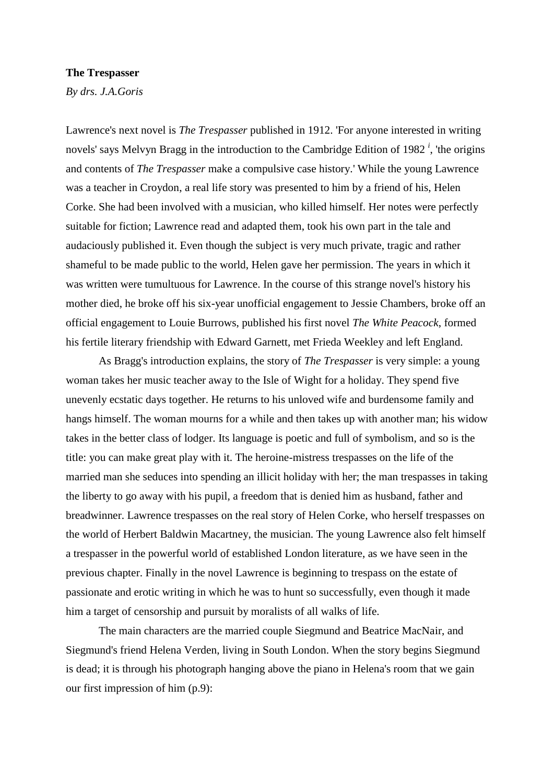## **The Trespasser**

*By drs. J.A.Goris*

Lawrence's next novel is *The Trespasser* published in 1912. 'For anyone interested in writing novels' says Melvyn Bragg in the introduction to the Cambridge Edition of 1982 *<sup>i</sup>* , 'the origins and contents of *The Trespasser* make a compulsive case history.' While the young Lawrence was a teacher in Croydon, a real life story was presented to him by a friend of his, Helen Corke. She had been involved with a musician, who killed himself. Her notes were perfectly suitable for fiction; Lawrence read and adapted them, took his own part in the tale and audaciously published it. Even though the subject is very much private, tragic and rather shameful to be made public to the world, Helen gave her permission. The years in which it was written were tumultuous for Lawrence. In the course of this strange novel's history his mother died, he broke off his six-year unofficial engagement to Jessie Chambers, broke off an official engagement to Louie Burrows, published his first novel *The White Peacock*, formed his fertile literary friendship with Edward Garnett, met Frieda Weekley and left England.

As Bragg's introduction explains, the story of *The Trespasser* is very simple: a young woman takes her music teacher away to the Isle of Wight for a holiday. They spend five unevenly ecstatic days together. He returns to his unloved wife and burdensome family and hangs himself. The woman mourns for a while and then takes up with another man; his widow takes in the better class of lodger. Its language is poetic and full of symbolism, and so is the title: you can make great play with it. The heroine-mistress trespasses on the life of the married man she seduces into spending an illicit holiday with her; the man trespasses in taking the liberty to go away with his pupil, a freedom that is denied him as husband, father and breadwinner. Lawrence trespasses on the real story of Helen Corke, who herself trespasses on the world of Herbert Baldwin Macartney, the musician. The young Lawrence also felt himself a trespasser in the powerful world of established London literature, as we have seen in the previous chapter. Finally in the novel Lawrence is beginning to trespass on the estate of passionate and erotic writing in which he was to hunt so successfully, even though it made him a target of censorship and pursuit by moralists of all walks of life.

The main characters are the married couple Siegmund and Beatrice MacNair, and Siegmund's friend Helena Verden, living in South London. When the story begins Siegmund is dead; it is through his photograph hanging above the piano in Helena's room that we gain our first impression of him (p.9):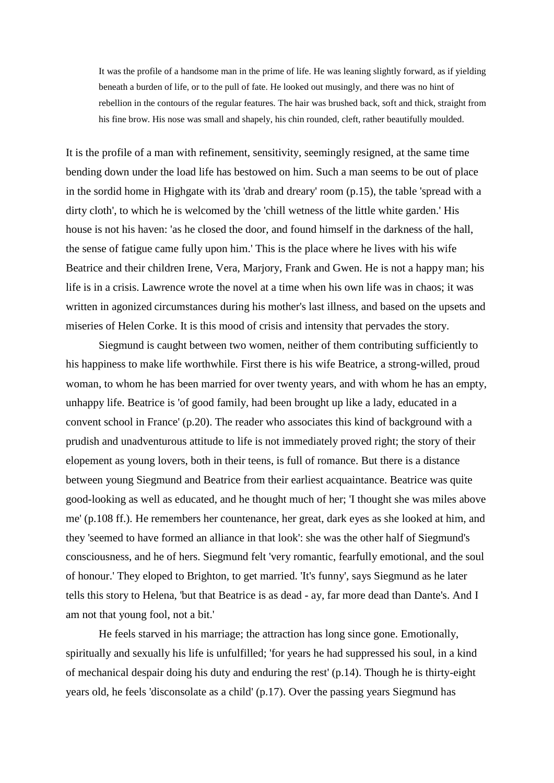It was the profile of a handsome man in the prime of life. He was leaning slightly forward, as if yielding beneath a burden of life, or to the pull of fate. He looked out musingly, and there was no hint of rebellion in the contours of the regular features. The hair was brushed back, soft and thick, straight from his fine brow. His nose was small and shapely, his chin rounded, cleft, rather beautifully moulded.

It is the profile of a man with refinement, sensitivity, seemingly resigned, at the same time bending down under the load life has bestowed on him. Such a man seems to be out of place in the sordid home in Highgate with its 'drab and dreary' room (p.15), the table 'spread with a dirty cloth', to which he is welcomed by the 'chill wetness of the little white garden.' His house is not his haven: 'as he closed the door, and found himself in the darkness of the hall, the sense of fatigue came fully upon him.' This is the place where he lives with his wife Beatrice and their children Irene, Vera, Marjory, Frank and Gwen. He is not a happy man; his life is in a crisis. Lawrence wrote the novel at a time when his own life was in chaos; it was written in agonized circumstances during his mother's last illness, and based on the upsets and miseries of Helen Corke. It is this mood of crisis and intensity that pervades the story.

Siegmund is caught between two women, neither of them contributing sufficiently to his happiness to make life worthwhile. First there is his wife Beatrice, a strong-willed, proud woman, to whom he has been married for over twenty years, and with whom he has an empty, unhappy life. Beatrice is 'of good family, had been brought up like a lady, educated in a convent school in France' (p.20). The reader who associates this kind of background with a prudish and unadventurous attitude to life is not immediately proved right; the story of their elopement as young lovers, both in their teens, is full of romance. But there is a distance between young Siegmund and Beatrice from their earliest acquaintance. Beatrice was quite good-looking as well as educated, and he thought much of her; 'I thought she was miles above me' (p.108 ff.). He remembers her countenance, her great, dark eyes as she looked at him, and they 'seemed to have formed an alliance in that look': she was the other half of Siegmund's consciousness, and he of hers. Siegmund felt 'very romantic, fearfully emotional, and the soul of honour.' They eloped to Brighton, to get married. 'It's funny', says Siegmund as he later tells this story to Helena, 'but that Beatrice is as dead - ay, far more dead than Dante's. And I am not that young fool, not a bit.'

He feels starved in his marriage; the attraction has long since gone. Emotionally, spiritually and sexually his life is unfulfilled; 'for years he had suppressed his soul, in a kind of mechanical despair doing his duty and enduring the rest' (p.14). Though he is thirty-eight years old, he feels 'disconsolate as a child' (p.17). Over the passing years Siegmund has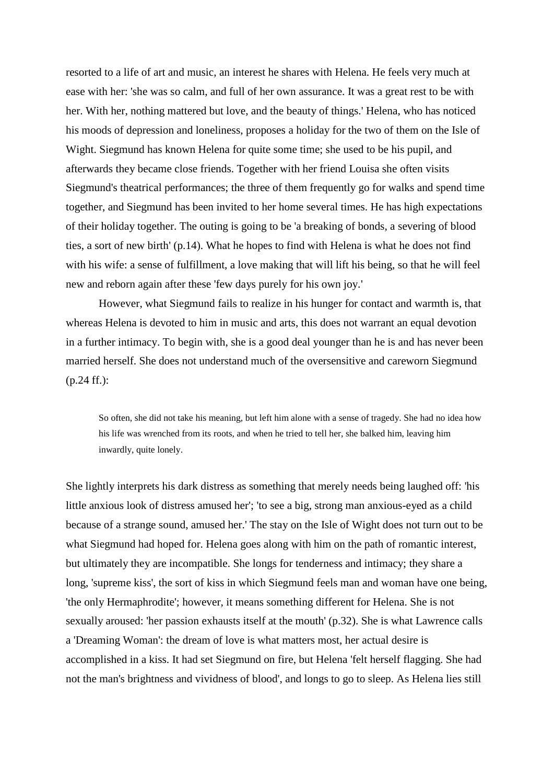resorted to a life of art and music, an interest he shares with Helena. He feels very much at ease with her: 'she was so calm, and full of her own assurance. It was a great rest to be with her. With her, nothing mattered but love, and the beauty of things.' Helena, who has noticed his moods of depression and loneliness, proposes a holiday for the two of them on the Isle of Wight. Siegmund has known Helena for quite some time; she used to be his pupil, and afterwards they became close friends. Together with her friend Louisa she often visits Siegmund's theatrical performances; the three of them frequently go for walks and spend time together, and Siegmund has been invited to her home several times. He has high expectations of their holiday together. The outing is going to be 'a breaking of bonds, a severing of blood ties, a sort of new birth' (p.14). What he hopes to find with Helena is what he does not find with his wife: a sense of fulfillment, a love making that will lift his being, so that he will feel new and reborn again after these 'few days purely for his own joy.'

However, what Siegmund fails to realize in his hunger for contact and warmth is, that whereas Helena is devoted to him in music and arts, this does not warrant an equal devotion in a further intimacy. To begin with, she is a good deal younger than he is and has never been married herself. She does not understand much of the oversensitive and careworn Siegmund (p.24 ff.):

So often, she did not take his meaning, but left him alone with a sense of tragedy. She had no idea how his life was wrenched from its roots, and when he tried to tell her, she balked him, leaving him inwardly, quite lonely.

She lightly interprets his dark distress as something that merely needs being laughed off: 'his little anxious look of distress amused her'; 'to see a big, strong man anxious-eyed as a child because of a strange sound, amused her.' The stay on the Isle of Wight does not turn out to be what Siegmund had hoped for. Helena goes along with him on the path of romantic interest, but ultimately they are incompatible. She longs for tenderness and intimacy; they share a long, 'supreme kiss', the sort of kiss in which Siegmund feels man and woman have one being, 'the only Hermaphrodite'; however, it means something different for Helena. She is not sexually aroused: 'her passion exhausts itself at the mouth' (p.32). She is what Lawrence calls a 'Dreaming Woman': the dream of love is what matters most, her actual desire is accomplished in a kiss. It had set Siegmund on fire, but Helena 'felt herself flagging. She had not the man's brightness and vividness of blood', and longs to go to sleep. As Helena lies still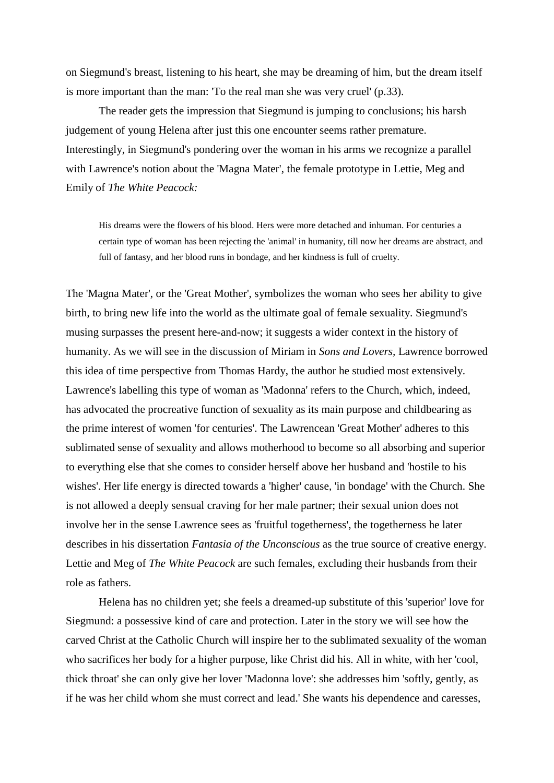on Siegmund's breast, listening to his heart, she may be dreaming of him, but the dream itself is more important than the man: 'To the real man she was very cruel' (p.33).

The reader gets the impression that Siegmund is jumping to conclusions; his harsh judgement of young Helena after just this one encounter seems rather premature. Interestingly, in Siegmund's pondering over the woman in his arms we recognize a parallel with Lawrence's notion about the 'Magna Mater', the female prototype in Lettie, Meg and Emily of *The White Peacock:*

His dreams were the flowers of his blood. Hers were more detached and inhuman. For centuries a certain type of woman has been rejecting the 'animal' in humanity, till now her dreams are abstract, and full of fantasy, and her blood runs in bondage, and her kindness is full of cruelty.

The 'Magna Mater', or the 'Great Mother', symbolizes the woman who sees her ability to give birth, to bring new life into the world as the ultimate goal of female sexuality. Siegmund's musing surpasses the present here-and-now; it suggests a wider context in the history of humanity. As we will see in the discussion of Miriam in *Sons and Lovers,* Lawrence borrowed this idea of time perspective from Thomas Hardy, the author he studied most extensively. Lawrence's labelling this type of woman as 'Madonna' refers to the Church, which, indeed, has advocated the procreative function of sexuality as its main purpose and childbearing as the prime interest of women 'for centuries'. The Lawrencean 'Great Mother' adheres to this sublimated sense of sexuality and allows motherhood to become so all absorbing and superior to everything else that she comes to consider herself above her husband and 'hostile to his wishes'. Her life energy is directed towards a 'higher' cause, 'in bondage' with the Church. She is not allowed a deeply sensual craving for her male partner; their sexual union does not involve her in the sense Lawrence sees as 'fruitful togetherness', the togetherness he later describes in his dissertation *Fantasia of the Unconscious* as the true source of creative energy. Lettie and Meg of *The White Peacock* are such females, excluding their husbands from their role as fathers.

Helena has no children yet; she feels a dreamed-up substitute of this 'superior' love for Siegmund: a possessive kind of care and protection. Later in the story we will see how the carved Christ at the Catholic Church will inspire her to the sublimated sexuality of the woman who sacrifices her body for a higher purpose, like Christ did his. All in white, with her 'cool, thick throat' she can only give her lover 'Madonna love': she addresses him 'softly, gently, as if he was her child whom she must correct and lead.' She wants his dependence and caresses,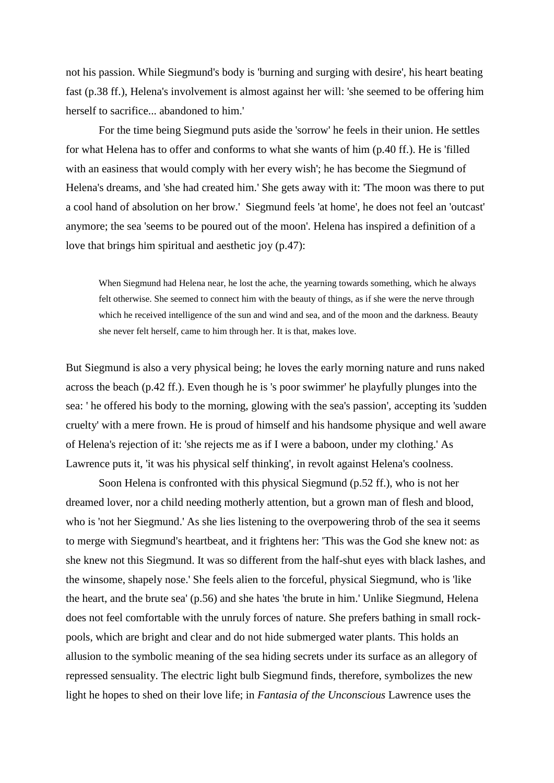not his passion. While Siegmund's body is 'burning and surging with desire', his heart beating fast (p.38 ff.), Helena's involvement is almost against her will: 'she seemed to be offering him herself to sacrifice... abandoned to him.'

For the time being Siegmund puts aside the 'sorrow' he feels in their union. He settles for what Helena has to offer and conforms to what she wants of him (p.40 ff.). He is 'filled with an easiness that would comply with her every wish'; he has become the Siegmund of Helena's dreams, and 'she had created him.' She gets away with it: 'The moon was there to put a cool hand of absolution on her brow.' Siegmund feels 'at home', he does not feel an 'outcast' anymore; the sea 'seems to be poured out of the moon'. Helena has inspired a definition of a love that brings him spiritual and aesthetic joy (p.47):

When Siegmund had Helena near, he lost the ache, the yearning towards something, which he always felt otherwise. She seemed to connect him with the beauty of things, as if she were the nerve through which he received intelligence of the sun and wind and sea, and of the moon and the darkness. Beauty she never felt herself, came to him through her. It is that, makes love.

But Siegmund is also a very physical being; he loves the early morning nature and runs naked across the beach (p.42 ff.). Even though he is 's poor swimmer' he playfully plunges into the sea: ' he offered his body to the morning, glowing with the sea's passion', accepting its 'sudden cruelty' with a mere frown. He is proud of himself and his handsome physique and well aware of Helena's rejection of it: 'she rejects me as if I were a baboon, under my clothing.' As Lawrence puts it, 'it was his physical self thinking', in revolt against Helena's coolness.

Soon Helena is confronted with this physical Siegmund (p.52 ff.), who is not her dreamed lover, nor a child needing motherly attention, but a grown man of flesh and blood, who is 'not her Siegmund.' As she lies listening to the overpowering throb of the sea it seems to merge with Siegmund's heartbeat, and it frightens her: 'This was the God she knew not: as she knew not this Siegmund. It was so different from the half-shut eyes with black lashes, and the winsome, shapely nose.' She feels alien to the forceful, physical Siegmund, who is 'like the heart, and the brute sea' (p.56) and she hates 'the brute in him.' Unlike Siegmund, Helena does not feel comfortable with the unruly forces of nature. She prefers bathing in small rockpools, which are bright and clear and do not hide submerged water plants. This holds an allusion to the symbolic meaning of the sea hiding secrets under its surface as an allegory of repressed sensuality. The electric light bulb Siegmund finds, therefore, symbolizes the new light he hopes to shed on their love life; in *Fantasia of the Unconscious* Lawrence uses the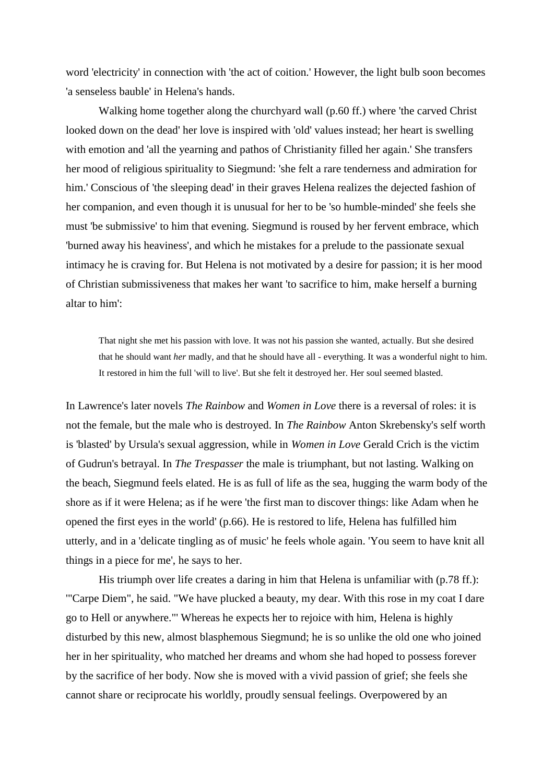word 'electricity' in connection with 'the act of coition.' However, the light bulb soon becomes 'a senseless bauble' in Helena's hands.

Walking home together along the churchyard wall (p.60 ff.) where 'the carved Christ looked down on the dead' her love is inspired with 'old' values instead; her heart is swelling with emotion and 'all the yearning and pathos of Christianity filled her again.' She transfers her mood of religious spirituality to Siegmund: 'she felt a rare tenderness and admiration for him.' Conscious of 'the sleeping dead' in their graves Helena realizes the dejected fashion of her companion, and even though it is unusual for her to be 'so humble-minded' she feels she must 'be submissive' to him that evening. Siegmund is roused by her fervent embrace, which 'burned away his heaviness', and which he mistakes for a prelude to the passionate sexual intimacy he is craving for. But Helena is not motivated by a desire for passion; it is her mood of Christian submissiveness that makes her want 'to sacrifice to him, make herself a burning altar to him':

That night she met his passion with love. It was not his passion she wanted, actually. But she desired that he should want *her* madly, and that he should have all - everything. It was a wonderful night to him. It restored in him the full 'will to live'. But she felt it destroyed her. Her soul seemed blasted.

In Lawrence's later novels *The Rainbow* and *Women in Love* there is a reversal of roles: it is not the female, but the male who is destroyed. In *The Rainbow* Anton Skrebensky's self worth is 'blasted' by Ursula's sexual aggression, while in *Women in Love* Gerald Crich is the victim of Gudrun's betrayal. In *The Trespasser* the male is triumphant, but not lasting. Walking on the beach, Siegmund feels elated. He is as full of life as the sea, hugging the warm body of the shore as if it were Helena; as if he were 'the first man to discover things: like Adam when he opened the first eyes in the world' (p.66). He is restored to life, Helena has fulfilled him utterly, and in a 'delicate tingling as of music' he feels whole again. 'You seem to have knit all things in a piece for me', he says to her.

His triumph over life creates a daring in him that Helena is unfamiliar with (p.78 ff.): '"Carpe Diem", he said. "We have plucked a beauty, my dear. With this rose in my coat I dare go to Hell or anywhere."' Whereas he expects her to rejoice with him, Helena is highly disturbed by this new, almost blasphemous Siegmund; he is so unlike the old one who joined her in her spirituality, who matched her dreams and whom she had hoped to possess forever by the sacrifice of her body. Now she is moved with a vivid passion of grief; she feels she cannot share or reciprocate his worldly, proudly sensual feelings. Overpowered by an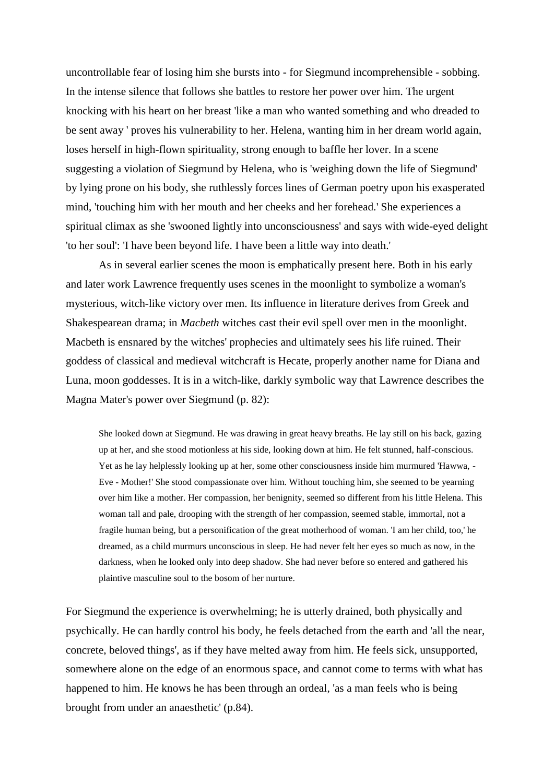uncontrollable fear of losing him she bursts into - for Siegmund incomprehensible - sobbing. In the intense silence that follows she battles to restore her power over him. The urgent knocking with his heart on her breast 'like a man who wanted something and who dreaded to be sent away ' proves his vulnerability to her. Helena, wanting him in her dream world again, loses herself in high-flown spirituality, strong enough to baffle her lover. In a scene suggesting a violation of Siegmund by Helena, who is 'weighing down the life of Siegmund' by lying prone on his body, she ruthlessly forces lines of German poetry upon his exasperated mind, 'touching him with her mouth and her cheeks and her forehead.' She experiences a spiritual climax as she 'swooned lightly into unconsciousness' and says with wide-eyed delight 'to her soul': 'I have been beyond life. I have been a little way into death.'

As in several earlier scenes the moon is emphatically present here. Both in his early and later work Lawrence frequently uses scenes in the moonlight to symbolize a woman's mysterious, witch-like victory over men. Its influence in literature derives from Greek and Shakespearean drama; in *Macbeth* witches cast their evil spell over men in the moonlight. Macbeth is ensnared by the witches' prophecies and ultimately sees his life ruined. Their goddess of classical and medieval witchcraft is Hecate, properly another name for Diana and Luna, moon goddesses. It is in a witch-like, darkly symbolic way that Lawrence describes the Magna Mater's power over Siegmund (p. 82):

She looked down at Siegmund. He was drawing in great heavy breaths. He lay still on his back, gazing up at her, and she stood motionless at his side, looking down at him. He felt stunned, half-conscious. Yet as he lay helplessly looking up at her, some other consciousness inside him murmured 'Hawwa, - Eve - Mother!' She stood compassionate over him. Without touching him, she seemed to be yearning over him like a mother. Her compassion, her benignity, seemed so different from his little Helena. This woman tall and pale, drooping with the strength of her compassion, seemed stable, immortal, not a fragile human being, but a personification of the great motherhood of woman. 'I am her child, too,' he dreamed, as a child murmurs unconscious in sleep. He had never felt her eyes so much as now, in the darkness, when he looked only into deep shadow. She had never before so entered and gathered his plaintive masculine soul to the bosom of her nurture.

For Siegmund the experience is overwhelming; he is utterly drained, both physically and psychically. He can hardly control his body, he feels detached from the earth and 'all the near, concrete, beloved things', as if they have melted away from him. He feels sick, unsupported, somewhere alone on the edge of an enormous space, and cannot come to terms with what has happened to him. He knows he has been through an ordeal, 'as a man feels who is being brought from under an anaesthetic' (p.84).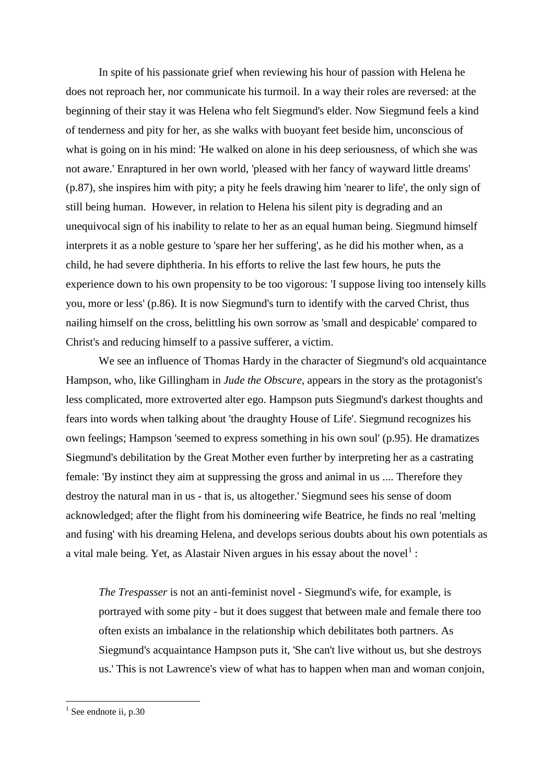In spite of his passionate grief when reviewing his hour of passion with Helena he does not reproach her, nor communicate his turmoil. In a way their roles are reversed: at the beginning of their stay it was Helena who felt Siegmund's elder. Now Siegmund feels a kind of tenderness and pity for her, as she walks with buoyant feet beside him, unconscious of what is going on in his mind: 'He walked on alone in his deep seriousness, of which she was not aware.' Enraptured in her own world, 'pleased with her fancy of wayward little dreams' (p.87), she inspires him with pity; a pity he feels drawing him 'nearer to life', the only sign of still being human. However, in relation to Helena his silent pity is degrading and an unequivocal sign of his inability to relate to her as an equal human being. Siegmund himself interprets it as a noble gesture to 'spare her her suffering', as he did his mother when, as a child, he had severe diphtheria. In his efforts to relive the last few hours, he puts the experience down to his own propensity to be too vigorous: 'I suppose living too intensely kills you, more or less' (p.86). It is now Siegmund's turn to identify with the carved Christ, thus nailing himself on the cross, belittling his own sorrow as 'small and despicable' compared to Christ's and reducing himself to a passive sufferer, a victim.

We see an influence of Thomas Hardy in the character of Siegmund's old acquaintance Hampson, who, like Gillingham in *Jude the Obscure,* appears in the story as the protagonist's less complicated, more extroverted alter ego. Hampson puts Siegmund's darkest thoughts and fears into words when talking about 'the draughty House of Life'. Siegmund recognizes his own feelings; Hampson 'seemed to express something in his own soul' (p.95). He dramatizes Siegmund's debilitation by the Great Mother even further by interpreting her as a castrating female: 'By instinct they aim at suppressing the gross and animal in us .... Therefore they destroy the natural man in us - that is, us altogether.' Siegmund sees his sense of doom acknowledged; after the flight from his domineering wife Beatrice, he finds no real 'melting and fusing' with his dreaming Helena, and develops serious doubts about his own potentials as a vital male being. Yet, as Alastair Niven argues in his essay about the novel<sup>1</sup>:

*The Trespasser* is not an anti-feminist novel - Siegmund's wife, for example, is portrayed with some pity - but it does suggest that between male and female there too often exists an imbalance in the relationship which debilitates both partners. As Siegmund's acquaintance Hampson puts it, 'She can't live without us, but she destroys us.' This is not Lawrence's view of what has to happen when man and woman conjoin,

1

 $<sup>1</sup>$  See endnote ii, p.30</sup>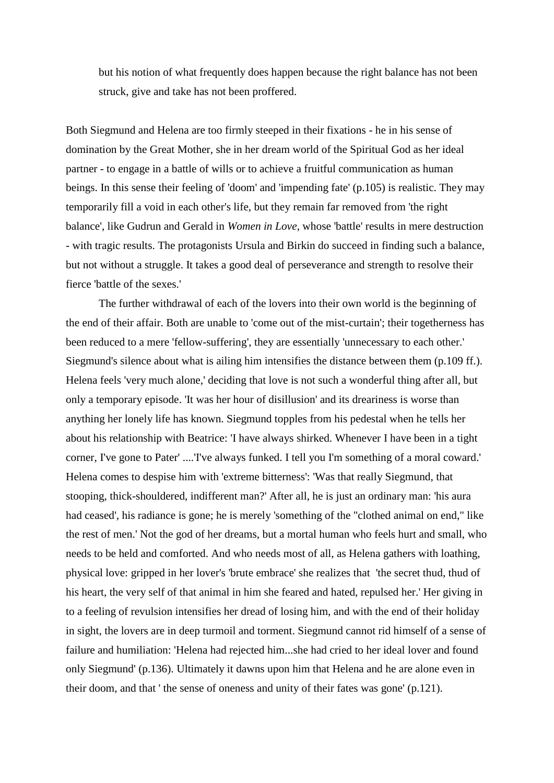but his notion of what frequently does happen because the right balance has not been struck, give and take has not been proffered.

Both Siegmund and Helena are too firmly steeped in their fixations - he in his sense of domination by the Great Mother, she in her dream world of the Spiritual God as her ideal partner - to engage in a battle of wills or to achieve a fruitful communication as human beings. In this sense their feeling of 'doom' and 'impending fate' (p.105) is realistic. They may temporarily fill a void in each other's life, but they remain far removed from 'the right balance', like Gudrun and Gerald in *Women in Love*, whose 'battle' results in mere destruction - with tragic results. The protagonists Ursula and Birkin do succeed in finding such a balance, but not without a struggle. It takes a good deal of perseverance and strength to resolve their fierce 'battle of the sexes.'

The further withdrawal of each of the lovers into their own world is the beginning of the end of their affair. Both are unable to 'come out of the mist-curtain'; their togetherness has been reduced to a mere 'fellow-suffering', they are essentially 'unnecessary to each other.' Siegmund's silence about what is ailing him intensifies the distance between them (p.109 ff.). Helena feels 'very much alone,' deciding that love is not such a wonderful thing after all, but only a temporary episode. 'It was her hour of disillusion' and its dreariness is worse than anything her lonely life has known. Siegmund topples from his pedestal when he tells her about his relationship with Beatrice: 'I have always shirked. Whenever I have been in a tight corner, I've gone to Pater' ....'I've always funked. I tell you I'm something of a moral coward.' Helena comes to despise him with 'extreme bitterness': 'Was that really Siegmund, that stooping, thick-shouldered, indifferent man?' After all, he is just an ordinary man: 'his aura had ceased', his radiance is gone; he is merely 'something of the "clothed animal on end," like the rest of men.' Not the god of her dreams, but a mortal human who feels hurt and small, who needs to be held and comforted. And who needs most of all, as Helena gathers with loathing, physical love: gripped in her lover's 'brute embrace' she realizes that 'the secret thud, thud of his heart, the very self of that animal in him she feared and hated, repulsed her.' Her giving in to a feeling of revulsion intensifies her dread of losing him, and with the end of their holiday in sight, the lovers are in deep turmoil and torment. Siegmund cannot rid himself of a sense of failure and humiliation: 'Helena had rejected him...she had cried to her ideal lover and found only Siegmund' (p.136). Ultimately it dawns upon him that Helena and he are alone even in their doom, and that ' the sense of oneness and unity of their fates was gone' (p.121).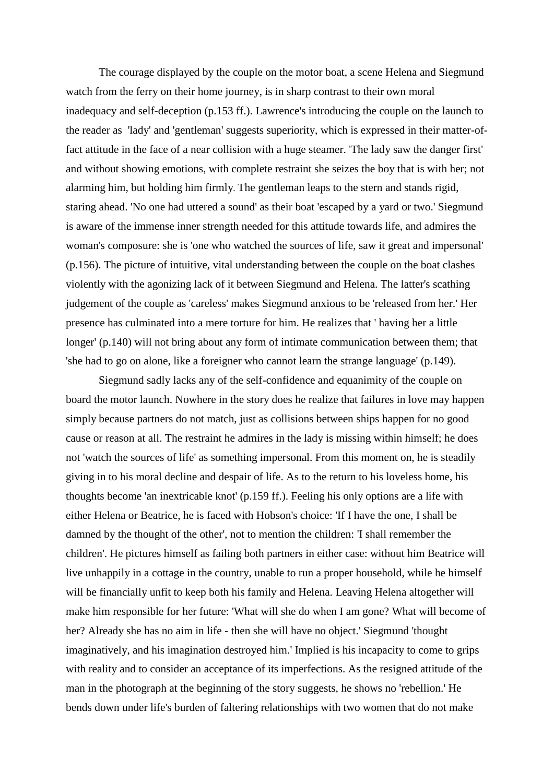The courage displayed by the couple on the motor boat, a scene Helena and Siegmund watch from the ferry on their home journey, is in sharp contrast to their own moral inadequacy and self-deception (p.153 ff.). Lawrence's introducing the couple on the launch to the reader as 'lady' and 'gentleman' suggests superiority, which is expressed in their matter-offact attitude in the face of a near collision with a huge steamer. 'The lady saw the danger first' and without showing emotions, with complete restraint she seizes the boy that is with her; not alarming him, but holding him firmly. The gentleman leaps to the stern and stands rigid, staring ahead. 'No one had uttered a sound' as their boat 'escaped by a yard or two.' Siegmund is aware of the immense inner strength needed for this attitude towards life, and admires the woman's composure: she is 'one who watched the sources of life, saw it great and impersonal' (p.156). The picture of intuitive, vital understanding between the couple on the boat clashes violently with the agonizing lack of it between Siegmund and Helena. The latter's scathing judgement of the couple as 'careless' makes Siegmund anxious to be 'released from her.' Her presence has culminated into a mere torture for him. He realizes that ' having her a little longer' (p.140) will not bring about any form of intimate communication between them; that 'she had to go on alone, like a foreigner who cannot learn the strange language' (p.149).

Siegmund sadly lacks any of the self-confidence and equanimity of the couple on board the motor launch. Nowhere in the story does he realize that failures in love may happen simply because partners do not match, just as collisions between ships happen for no good cause or reason at all. The restraint he admires in the lady is missing within himself; he does not 'watch the sources of life' as something impersonal. From this moment on, he is steadily giving in to his moral decline and despair of life. As to the return to his loveless home, his thoughts become 'an inextricable knot' (p.159 ff.). Feeling his only options are a life with either Helena or Beatrice, he is faced with Hobson's choice: 'If I have the one, I shall be damned by the thought of the other', not to mention the children: 'I shall remember the children'. He pictures himself as failing both partners in either case: without him Beatrice will live unhappily in a cottage in the country, unable to run a proper household, while he himself will be financially unfit to keep both his family and Helena. Leaving Helena altogether will make him responsible for her future: 'What will she do when I am gone? What will become of her? Already she has no aim in life - then she will have no object.' Siegmund 'thought imaginatively, and his imagination destroyed him.' Implied is his incapacity to come to grips with reality and to consider an acceptance of its imperfections. As the resigned attitude of the man in the photograph at the beginning of the story suggests, he shows no 'rebellion.' He bends down under life's burden of faltering relationships with two women that do not make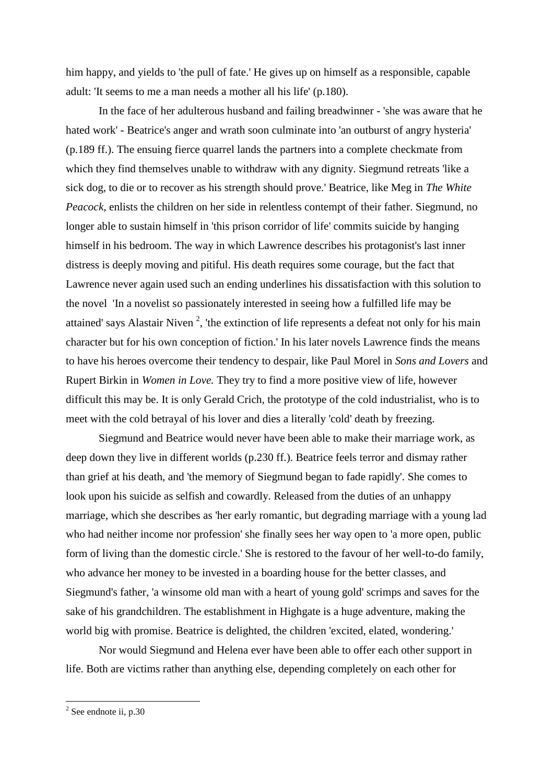him happy, and yields to 'the pull of fate.' He gives up on himself as a responsible, capable adult: 'It seems to me a man needs a mother all his life' (p.180).

In the face of her adulterous husband and failing breadwinner - 'she was aware that he hated work' - Beatrice's anger and wrath soon culminate into 'an outburst of angry hysteria' (p.189 ff.). The ensuing fierce quarrel lands the partners into a complete checkmate from which they find themselves unable to withdraw with any dignity. Siegmund retreats 'like a sick dog, to die or to recover as his strength should prove.' Beatrice, like Meg in *The White Peacock,* enlists the children on her side in relentless contempt of their father. Siegmund, no longer able to sustain himself in 'this prison corridor of life' commits suicide by hanging himself in his bedroom. The way in which Lawrence describes his protagonist's last inner distress is deeply moving and pitiful. His death requires some courage, but the fact that Lawrence never again used such an ending underlines his dissatisfaction with this solution to the novel 'In a novelist so passionately interested in seeing how a fulfilled life may be attained' says Alastair Niven<sup>2</sup>, 'the extinction of life represents a defeat not only for his main character but for his own conception of fiction.' In his later novels Lawrence finds the means to have his heroes overcome their tendency to despair, like Paul Morel in *Sons and Lovers* and Rupert Birkin in *Women in Love.* They try to find a more positive view of life, however difficult this may be. It is only Gerald Crich, the prototype of the cold industrialist, who is to meet with the cold betrayal of his lover and dies a literally 'cold' death by freezing.

Siegmund and Beatrice would never have been able to make their marriage work, as deep down they live in different worlds (p.230 ff.). Beatrice feels terror and dismay rather than grief at his death, and 'the memory of Siegmund began to fade rapidly'. She comes to look upon his suicide as selfish and cowardly. Released from the duties of an unhappy marriage, which she describes as 'her early romantic, but degrading marriage with a young lad who had neither income nor profession' she finally sees her way open to 'a more open, public form of living than the domestic circle.' She is restored to the favour of her well-to-do family, who advance her money to be invested in a boarding house for the better classes, and Siegmund's father, 'a winsome old man with a heart of young gold' scrimps and saves for the sake of his grandchildren. The establishment in Highgate is a huge adventure, making the world big with promise. Beatrice is delighted, the children 'excited, elated, wondering.'

Nor would Siegmund and Helena ever have been able to offer each other support in life. Both are victims rather than anything else, depending completely on each other for

<sup>&</sup>lt;sup>2</sup> See endnote ii, p.30